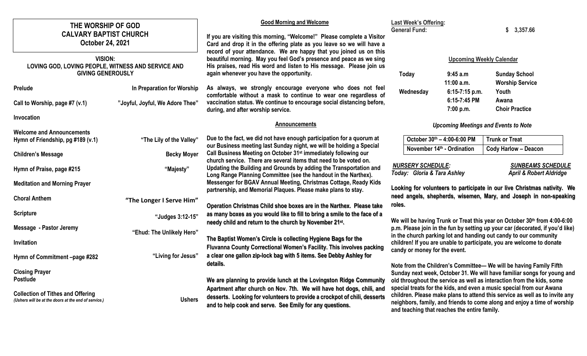| THE WORSHIP OF GOD<br><b>CALVARY BAPTIST CHURCH</b><br>October 24, 2021                          |                                                               | <b>Good Morning and Welcome</b><br>If you are visiting this morning, "Welcome!" Please complete a Visitor<br>Card and drop it in the offering plate as you leave so we will have a                                                                            | Last Week's Offering:<br><b>General Fund:</b>                                                                                                                                                                                                               |                                                                                                                                                                                                         | 3,357.66                                                                                                                                                                                                                 |  |  |
|--------------------------------------------------------------------------------------------------|---------------------------------------------------------------|---------------------------------------------------------------------------------------------------------------------------------------------------------------------------------------------------------------------------------------------------------------|-------------------------------------------------------------------------------------------------------------------------------------------------------------------------------------------------------------------------------------------------------------|---------------------------------------------------------------------------------------------------------------------------------------------------------------------------------------------------------|--------------------------------------------------------------------------------------------------------------------------------------------------------------------------------------------------------------------------|--|--|
| <b>VISION:</b><br>LOVING GOD, LOVING PEOPLE, WITNESS AND SERVICE AND<br><b>GIVING GENEROUSLY</b> |                                                               | record of your attendance. We are happy that you joined us on this<br>beautiful morning. May you feel God's presence and peace as we sing<br>His praises, read His word and listen to His message. Please join us<br>again whenever you have the opportunity. | Today                                                                                                                                                                                                                                                       | <b>Upcoming Weekly Calendar</b><br>9:45 a.m                                                                                                                                                             | <b>Sunday School</b>                                                                                                                                                                                                     |  |  |
| <b>Prelude</b><br>Call to Worship, page #7 (v.1)                                                 | In Preparation for Worship<br>"Joyful, Joyful, We Adore Thee" | As always, we strongly encourage everyone who does not feel<br>comfortable without a mask to continue to wear one regardless of<br>vaccination status. We continue to encourage social distancing before,<br>during, and after worship service.               | Wednesday                                                                                                                                                                                                                                                   | $11:00$ a.m.<br>6:15-7:15 p.m.<br>6:15-7:45 PM<br>7:00 p.m.                                                                                                                                             | <b>Worship Service</b><br>Youth<br>Awana<br><b>Choir Practice</b>                                                                                                                                                        |  |  |
| Invocation                                                                                       |                                                               | <b>Announcements</b>                                                                                                                                                                                                                                          |                                                                                                                                                                                                                                                             |                                                                                                                                                                                                         | <b>Upcoming Meetings and Events to Note</b>                                                                                                                                                                              |  |  |
| <b>Welcome and Announcements</b><br>Hymn of Friendship, pg #189 (v.1)                            | "The Lily of the Valley"                                      | Due to the fact, we did not have enough participation for a quorum at                                                                                                                                                                                         |                                                                                                                                                                                                                                                             | October 30th - 4:00-6:00 PM                                                                                                                                                                             | <b>Trunk or Treat</b>                                                                                                                                                                                                    |  |  |
| <b>Children's Message</b>                                                                        | <b>Becky Moyer</b>                                            | our Business meeting last Sunday night, we will be holding a Special<br>Call Business Meeting on October 31 <sup>st</sup> immediately following our<br>church service. There are several items that need to be voted on.                                      |                                                                                                                                                                                                                                                             | November 14th - Ordination                                                                                                                                                                              | <b>Cody Harlow - Deacon</b>                                                                                                                                                                                              |  |  |
| Hymn of Praise, page #215                                                                        | "Majesty"                                                     | Updating the Building and Grounds by adding the Transportation and<br>Long Range Planning Committee (see the handout in the Narthex).                                                                                                                         | <b>NURSERY SCHEDULE:</b><br>Today: Gloria & Tara Ashley                                                                                                                                                                                                     |                                                                                                                                                                                                         | <b>SUNBEAMS SCHEDULE</b><br><b>April &amp; Robert Aldridge</b>                                                                                                                                                           |  |  |
| <b>Meditation and Morning Prayer</b>                                                             |                                                               | Messenger for BGAV Annual Meeting, Christmas Cottage, Ready Kids<br>partnership, and Memorial Plaques. Please make plans to stay.                                                                                                                             | Looking for volunteers to participate in our live Christmas nativity. We                                                                                                                                                                                    |                                                                                                                                                                                                         |                                                                                                                                                                                                                          |  |  |
| <b>Choral Anthem</b>                                                                             | "The Longer I Serve Him"                                      | Operation Christmas Child shoe boxes are in the Narthex. Please take                                                                                                                                                                                          | roles.                                                                                                                                                                                                                                                      |                                                                                                                                                                                                         | need angels, shepherds, wisemen, Mary, and Joseph in non-speaking                                                                                                                                                        |  |  |
| <b>Scripture</b>                                                                                 | "Judges 3:12-15"                                              | as many boxes as you would like to fill to bring a smile to the face of a<br>needy child and return to the church by November 21st.                                                                                                                           |                                                                                                                                                                                                                                                             |                                                                                                                                                                                                         | We will be having Trunk or Treat this year on October 30th from 4:00-6:00                                                                                                                                                |  |  |
| Message - Pastor Jeremy                                                                          | "Ehud: The Unlikely Hero"                                     | The Baptist Women's Circle is collecting Hygiene Bags for the<br>Fluvanna County Correctional Women's Facility. This involves packing                                                                                                                         | p.m. Please join in the fun by setting up your car (decorated, if you'd like)<br>in the church parking lot and handing out candy to our community<br>children! If you are unable to participate, you are welcome to donate<br>candy or money for the event. |                                                                                                                                                                                                         |                                                                                                                                                                                                                          |  |  |
| Invitation                                                                                       |                                                               |                                                                                                                                                                                                                                                               |                                                                                                                                                                                                                                                             |                                                                                                                                                                                                         |                                                                                                                                                                                                                          |  |  |
| Hymn of Commitment -page #282                                                                    | "Living for Jesus"                                            | a clear one gallon zip-lock bag with 5 items. See Debby Ashley for<br>details.                                                                                                                                                                                |                                                                                                                                                                                                                                                             |                                                                                                                                                                                                         | Note from the Children's Committee-We will be having Family Fifth                                                                                                                                                        |  |  |
| <b>Closing Prayer</b><br><b>Postlude</b>                                                         |                                                               | We are planning to provide lunch at the Lovingston Ridge Community<br>Apartment after church on Nov. 7th. We will have hot dogs, chili, and                                                                                                                   |                                                                                                                                                                                                                                                             |                                                                                                                                                                                                         | Sunday next week, October 31. We will have familiar songs for young and<br>old throughout the service as well as interaction from the kids, some<br>special treats for the kids, and even a music special from our Awana |  |  |
| <b>Collection of Tithes and Offering</b><br>(Ushers will be at the doors at the end of service.) | <b>Ushers</b>                                                 | desserts. Looking for volunteers to provide a crockpot of chili, desserts<br>and to help cook and serve. See Emily for any questions.                                                                                                                         |                                                                                                                                                                                                                                                             | children. Please make plans to attend this service as well as to invite any<br>neighbors, family, and friends to come along and enjoy a time of worship<br>and teaching that reaches the entire family. |                                                                                                                                                                                                                          |  |  |